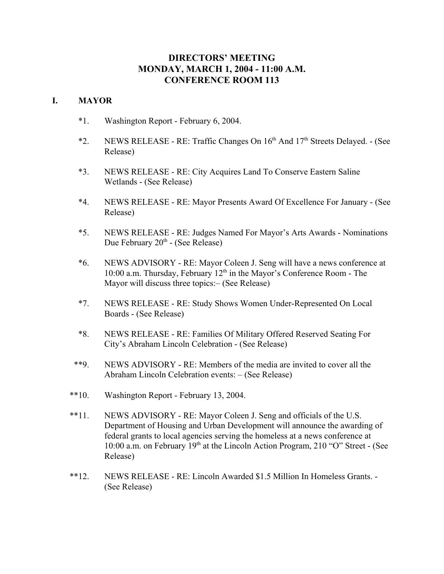# **DIRECTORS' MEETING MONDAY, MARCH 1, 2004 - 11:00 A.M. CONFERENCE ROOM 113**

## **I. MAYOR**

- \*1. Washington Report February 6, 2004.
- \*2. NEWS RELEASE RE: Traffic Changes On  $16<sup>th</sup>$  And  $17<sup>th</sup>$  Streets Delayed. (See Release)
- \*3. NEWS RELEASE RE: City Acquires Land To Conserve Eastern Saline Wetlands - (See Release)
- \*4. NEWS RELEASE RE: Mayor Presents Award Of Excellence For January (See Release)
- \*5. NEWS RELEASE RE: Judges Named For Mayor's Arts Awards Nominations Due February 20<sup>th</sup> - (See Release)
- \*6. NEWS ADVISORY RE: Mayor Coleen J. Seng will have a news conference at 10:00 a.m. Thursday, February  $12<sup>th</sup>$  in the Mayor's Conference Room - The Mayor will discuss three topics:– (See Release)
- \*7. NEWS RELEASE RE: Study Shows Women Under-Represented On Local Boards - (See Release)
- \*8. NEWS RELEASE RE: Families Of Military Offered Reserved Seating For City's Abraham Lincoln Celebration - (See Release)
- \*\*9. NEWS ADVISORY RE: Members of the media are invited to cover all the Abraham Lincoln Celebration events: – (See Release)
- \*\*10. Washington Report February 13, 2004.
- \*\*11. NEWS ADVISORY RE: Mayor Coleen J. Seng and officials of the U.S. Department of Housing and Urban Development will announce the awarding of federal grants to local agencies serving the homeless at a news conference at 10:00 a.m. on February 19<sup>th</sup> at the Lincoln Action Program, 210 "O" Street - (See Release)
- \*\*12. NEWS RELEASE RE: Lincoln Awarded \$1.5 Million In Homeless Grants. (See Release)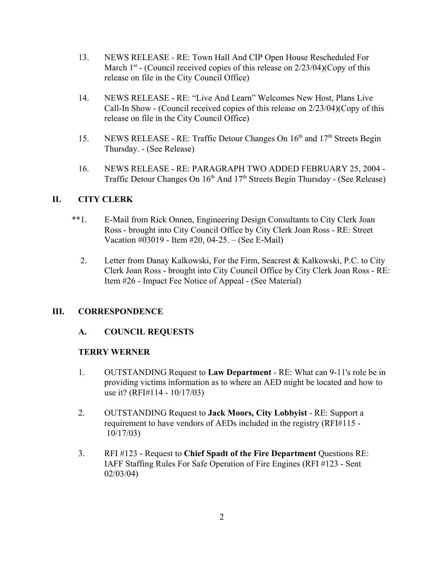- 13. NEWS RELEASE RE: Town Hall And CIP Open House Rescheduled For March  $1<sup>st</sup>$  - (Council received copies of this release on  $2/23/04$ )(Copy of this release on file in the City Council Office)
- 14. NEWS RELEASE RE: "Live And Learn" Welcomes New Host, Plans Live Call-In Show - (Council received copies of this release on 2/23/04)(Copy of this release on file in the City Council Office)
- 15. NEWS RELEASE RE: Traffic Detour Changes On 16<sup>th</sup> and 17<sup>th</sup> Streets Begin Thursday. - (See Release)
- 16. NEWS RELEASE RE: PARAGRAPH TWO ADDED FEBRUARY 25, 2004 Traffic Detour Changes On 16<sup>th</sup> And 17<sup>th</sup> Streets Begin Thursday - (See Release)

# **II. CITY CLERK**

- \*\*1. E-Mail from Rick Onnen, Engineering Design Consultants to City Clerk Joan Ross - brought into City Council Office by City Clerk Joan Ross - RE: Street Vacation #03019 - Item #20, 04-25. – (See E-Mail)
	- 2. Letter from Danay Kalkowski, For the Firm, Seacrest & Kalkowski, P.C. to City Clerk Joan Ross - brought into City Council Office by City Clerk Joan Ross - RE: Item #26 - Impact Fee Notice of Appeal - (See Material)

## **III. CORRESPONDENCE**

## **A. COUNCIL REQUESTS**

## **TERRY WERNER**

- 1. OUTSTANDING Request to **Law Department** RE: What can 9-11's role be in providing victims information as to where an AED might be located and how to use it? (RFI#114 - 10/17/03)
- 2. OUTSTANDING Request to **Jack Moors, City Lobbyist** RE: Support a requirement to have vendors of AEDs included in the registry (RFI#115 - 10/17/03)
- 3. RFI #123 Request to **Chief Spadt of the Fire Department** Questions RE: IAFF Staffing Rules For Safe Operation of Fire Engines (RFI #123 - Sent 02/03/04)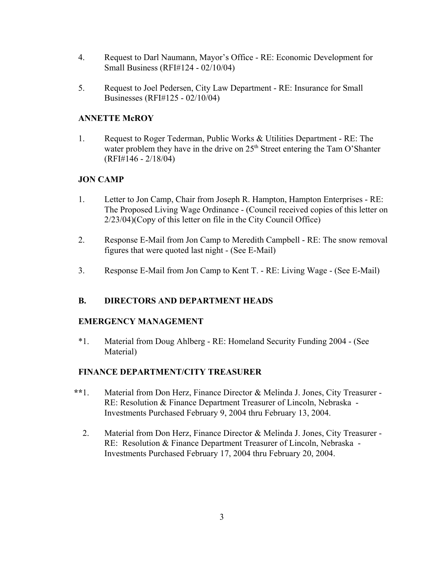- 4. Request to Darl Naumann, Mayor's Office RE: Economic Development for Small Business (RFI#124 - 02/10/04)
- 5. Request to Joel Pedersen, City Law Department RE: Insurance for Small Businesses (RFI#125 - 02/10/04)

## **ANNETTE McROY**

1. Request to Roger Tederman, Public Works & Utilities Department - RE: The water problem they have in the drive on  $25<sup>th</sup>$  Street entering the Tam O'Shanter (RFI#146 - 2/18/04)

# **JON CAMP**

- 1. Letter to Jon Camp, Chair from Joseph R. Hampton, Hampton Enterprises RE: The Proposed Living Wage Ordinance - (Council received copies of this letter on 2/23/04)(Copy of this letter on file in the City Council Office)
- 2. Response E-Mail from Jon Camp to Meredith Campbell RE: The snow removal figures that were quoted last night - (See E-Mail)
- 3. Response E-Mail from Jon Camp to Kent T. RE: Living Wage (See E-Mail)

# **B. DIRECTORS AND DEPARTMENT HEADS**

## **EMERGENCY MANAGEMENT**

\*1. Material from Doug Ahlberg - RE: Homeland Security Funding 2004 - (See Material)

## **FINANCE DEPARTMENT/CITY TREASURER**

- **\*\***1. Material from Don Herz, Finance Director & Melinda J. Jones, City Treasurer RE: Resolution & Finance Department Treasurer of Lincoln, Nebraska - Investments Purchased February 9, 2004 thru February 13, 2004.
	- 2. Material from Don Herz, Finance Director & Melinda J. Jones, City Treasurer RE: Resolution & Finance Department Treasurer of Lincoln, Nebraska - Investments Purchased February 17, 2004 thru February 20, 2004.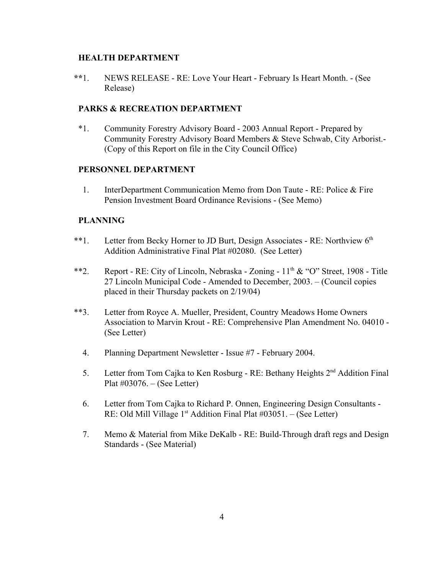#### **HEALTH DEPARTMENT**

 **\*\***1. NEWS RELEASE - RE: Love Your Heart - February Is Heart Month. - (See Release)

## **PARKS & RECREATION DEPARTMENT**

\*1. Community Forestry Advisory Board - 2003 Annual Report - Prepared by Community Forestry Advisory Board Members & Steve Schwab, City Arborist.- (Copy of this Report on file in the City Council Office)

## **PERSONNEL DEPARTMENT**

1. InterDepartment Communication Memo from Don Taute - RE: Police & Fire Pension Investment Board Ordinance Revisions - (See Memo)

## **PLANNING**

- \*\*1. Letter from Becky Horner to JD Burt, Design Associates RE: Northview 6<sup>th</sup> Addition Administrative Final Plat #02080. (See Letter)
- \*\*2. Report RE: City of Lincoln, Nebraska Zoning  $11<sup>th</sup> \& ^\circ$  "O" Street, 1908 Title 27 Lincoln Municipal Code - Amended to December, 2003. – (Council copies placed in their Thursday packets on 2/19/04)
- \*\*3. Letter from Royce A. Mueller, President, Country Meadows Home Owners Association to Marvin Krout - RE: Comprehensive Plan Amendment No. 04010 - (See Letter)
	- 4. Planning Department Newsletter Issue #7 February 2004.
	- 5. Letter from Tom Cajka to Ken Rosburg RE: Bethany Heights 2<sup>nd</sup> Addition Final Plat #03076. – (See Letter)
	- 6. Letter from Tom Cajka to Richard P. Onnen, Engineering Design Consultants RE: Old Mill Village  $1<sup>st</sup>$  Addition Final Plat #03051. – (See Letter)
	- 7. Memo & Material from Mike DeKalb RE: Build-Through draft regs and Design Standards - (See Material)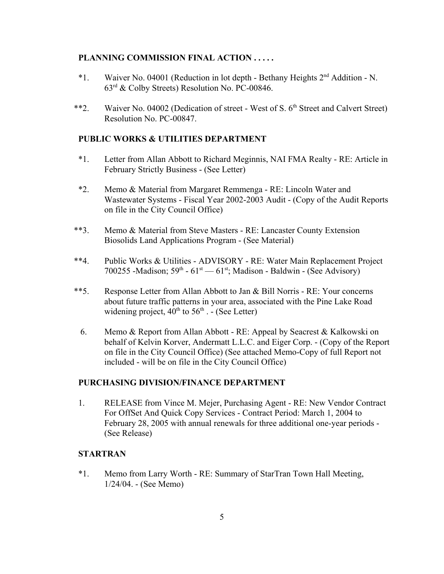#### **PLANNING COMMISSION FINAL ACTION . . . . .**

- \*1. Waiver No. 04001 (Reduction in lot depth Bethany Heights 2nd Addition N.  $63^{\text{rd}}$  & Colby Streets) Resolution No. PC-00846.
- \*\*2. Waiver No. 04002 (Dedication of street West of S. 6<sup>th</sup> Street and Calvert Street) Resolution No. PC-00847.

#### **PUBLIC WORKS & UTILITIES DEPARTMENT**

- \*1. Letter from Allan Abbott to Richard Meginnis, NAI FMA Realty RE: Article in February Strictly Business - (See Letter)
- \*2. Memo & Material from Margaret Remmenga RE: Lincoln Water and Wastewater Systems - Fiscal Year 2002-2003 Audit - (Copy of the Audit Reports on file in the City Council Office)
- \*\*3. Memo & Material from Steve Masters RE: Lancaster County Extension Biosolids Land Applications Program - (See Material)
- \*\*4. Public Works & Utilities ADVISORY RE: Water Main Replacement Project 700255 -Madison;  $59<sup>th</sup> - 61<sup>st</sup> - 61<sup>st</sup>$ ; Madison - Baldwin - (See Advisory)
- \*\*5. Response Letter from Allan Abbott to Jan & Bill Norris RE: Your concerns about future traffic patterns in your area, associated with the Pine Lake Road widening project,  $40^{th}$  to  $56^{th}$  . - (See Letter)
	- 6. Memo & Report from Allan Abbott RE: Appeal by Seacrest & Kalkowski on behalf of Kelvin Korver, Andermatt L.L.C. and Eiger Corp. - (Copy of the Report on file in the City Council Office) (See attached Memo-Copy of full Report not included - will be on file in the City Council Office)

## **PURCHASING DIVISION/FINANCE DEPARTMENT**

1. RELEASE from Vince M. Mejer, Purchasing Agent - RE: New Vendor Contract For OffSet And Quick Copy Services - Contract Period: March 1, 2004 to February 28, 2005 with annual renewals for three additional one-year periods - (See Release)

#### **STARTRAN**

\*1. Memo from Larry Worth - RE: Summary of StarTran Town Hall Meeting, 1/24/04. - (See Memo)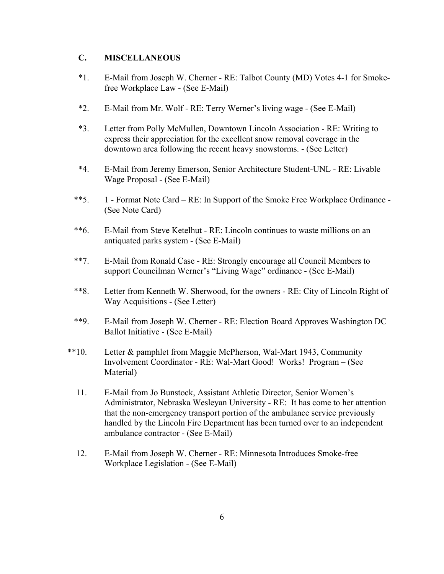## **C. MISCELLANEOUS**

- \*1. E-Mail from Joseph W. Cherner RE: Talbot County (MD) Votes 4-1 for Smokefree Workplace Law - (See E-Mail)
- \*2. E-Mail from Mr. Wolf RE: Terry Werner's living wage (See E-Mail)
- \*3. Letter from Polly McMullen, Downtown Lincoln Association RE: Writing to express their appreciation for the excellent snow removal coverage in the downtown area following the recent heavy snowstorms. - (See Letter)
- \*4. E-Mail from Jeremy Emerson, Senior Architecture Student-UNL RE: Livable Wage Proposal - (See E-Mail)
- \*\*5. 1 Format Note Card RE: In Support of the Smoke Free Workplace Ordinance (See Note Card)
- \*\*6. E-Mail from Steve Ketelhut RE: Lincoln continues to waste millions on an antiquated parks system - (See E-Mail)
- \*\*7. E-Mail from Ronald Case RE: Strongly encourage all Council Members to support Councilman Werner's "Living Wage" ordinance - (See E-Mail)
- \*\*8. Letter from Kenneth W. Sherwood, for the owners RE: City of Lincoln Right of Way Acquisitions - (See Letter)
- \*\*9. E-Mail from Joseph W. Cherner RE: Election Board Approves Washington DC Ballot Initiative - (See E-Mail)
- \*\*10. Letter & pamphlet from Maggie McPherson, Wal-Mart 1943, Community Involvement Coordinator - RE: Wal-Mart Good! Works! Program – (See Material)
	- 11. E-Mail from Jo Bunstock, Assistant Athletic Director, Senior Women's Administrator, Nebraska Wesleyan University - RE: It has come to her attention that the non-emergency transport portion of the ambulance service previously handled by the Lincoln Fire Department has been turned over to an independent ambulance contractor - (See E-Mail)
	- 12. E-Mail from Joseph W. Cherner RE: Minnesota Introduces Smoke-free Workplace Legislation - (See E-Mail)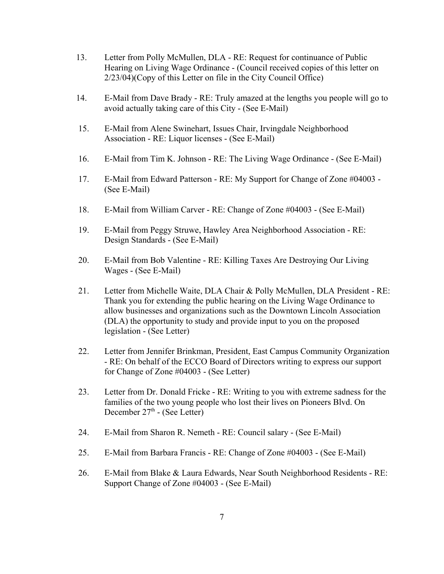- 13. Letter from Polly McMullen, DLA RE: Request for continuance of Public Hearing on Living Wage Ordinance - (Council received copies of this letter on 2/23/04)(Copy of this Letter on file in the City Council Office)
- 14. E-Mail from Dave Brady RE: Truly amazed at the lengths you people will go to avoid actually taking care of this City - (See E-Mail)
- 15. E-Mail from Alene Swinehart, Issues Chair, Irvingdale Neighborhood Association - RE: Liquor licenses - (See E-Mail)
- 16. E-Mail from Tim K. Johnson RE: The Living Wage Ordinance (See E-Mail)
- 17. E-Mail from Edward Patterson RE: My Support for Change of Zone #04003 (See E-Mail)
- 18. E-Mail from William Carver RE: Change of Zone #04003 (See E-Mail)
- 19. E-Mail from Peggy Struwe, Hawley Area Neighborhood Association RE: Design Standards - (See E-Mail)
- 20. E-Mail from Bob Valentine RE: Killing Taxes Are Destroying Our Living Wages - (See E-Mail)
- 21. Letter from Michelle Waite, DLA Chair & Polly McMullen, DLA President RE: Thank you for extending the public hearing on the Living Wage Ordinance to allow businesses and organizations such as the Downtown Lincoln Association (DLA) the opportunity to study and provide input to you on the proposed legislation - (See Letter)
- 22. Letter from Jennifer Brinkman, President, East Campus Community Organization - RE: On behalf of the ECCO Board of Directors writing to express our support for Change of Zone #04003 - (See Letter)
- 23. Letter from Dr. Donald Fricke RE: Writing to you with extreme sadness for the families of the two young people who lost their lives on Pioneers Blvd. On December  $27<sup>th</sup>$  - (See Letter)
- 24. E-Mail from Sharon R. Nemeth RE: Council salary (See E-Mail)
- 25. E-Mail from Barbara Francis RE: Change of Zone #04003 (See E-Mail)
- 26. E-Mail from Blake & Laura Edwards, Near South Neighborhood Residents RE: Support Change of Zone #04003 - (See E-Mail)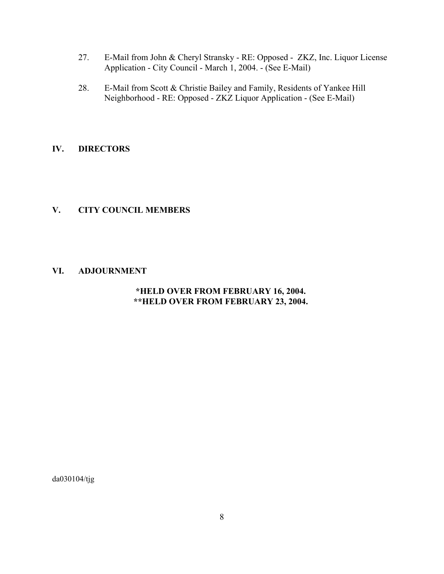- 27. E-Mail from John & Cheryl Stransky RE: Opposed ZKZ, Inc. Liquor License Application - City Council - March 1, 2004. - (See E-Mail)
- 28. E-Mail from Scott & Christie Bailey and Family, Residents of Yankee Hill Neighborhood - RE: Opposed - ZKZ Liquor Application - (See E-Mail)

## **IV. DIRECTORS**

## **V. CITY COUNCIL MEMBERS**

## **VI. ADJOURNMENT**

# **\*HELD OVER FROM FEBRUARY 16, 2004. \*\*HELD OVER FROM FEBRUARY 23, 2004.**

da030104/tjg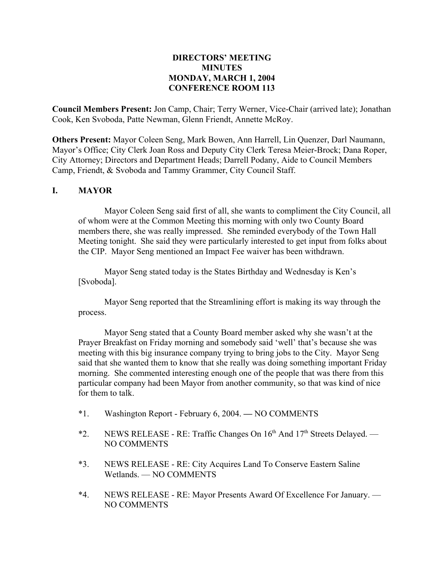## **DIRECTORS' MEETING MINUTES MONDAY, MARCH 1, 2004 CONFERENCE ROOM 113**

**Council Members Present:** Jon Camp, Chair; Terry Werner, Vice-Chair (arrived late); Jonathan Cook, Ken Svoboda, Patte Newman, Glenn Friendt, Annette McRoy.

**Others Present:** Mayor Coleen Seng, Mark Bowen, Ann Harrell, Lin Quenzer, Darl Naumann, Mayor's Office; City Clerk Joan Ross and Deputy City Clerk Teresa Meier-Brock; Dana Roper, City Attorney; Directors and Department Heads; Darrell Podany, Aide to Council Members Camp, Friendt, & Svoboda and Tammy Grammer, City Council Staff.

## **I. MAYOR**

Mayor Coleen Seng said first of all, she wants to compliment the City Council, all of whom were at the Common Meeting this morning with only two County Board members there, she was really impressed. She reminded everybody of the Town Hall Meeting tonight. She said they were particularly interested to get input from folks about the CIP. Mayor Seng mentioned an Impact Fee waiver has been withdrawn.

Mayor Seng stated today is the States Birthday and Wednesday is Ken's [Svoboda].

Mayor Seng reported that the Streamlining effort is making its way through the process.

Mayor Seng stated that a County Board member asked why she wasn't at the Prayer Breakfast on Friday morning and somebody said 'well' that's because she was meeting with this big insurance company trying to bring jobs to the City. Mayor Seng said that she wanted them to know that she really was doing something important Friday morning. She commented interesting enough one of the people that was there from this particular company had been Mayor from another community, so that was kind of nice for them to talk.

- \*1. Washington Report February 6, 2004. NO COMMENTS
- \*2. NEWS RELEASE RE: Traffic Changes On  $16<sup>th</sup>$  And  $17<sup>th</sup>$  Streets Delayed. NO COMMENTS
- \*3. NEWS RELEASE RE: City Acquires Land To Conserve Eastern Saline Wetlands. — NO COMMENTS
- \*4. NEWS RELEASE RE: Mayor Presents Award Of Excellence For January. NO COMMENTS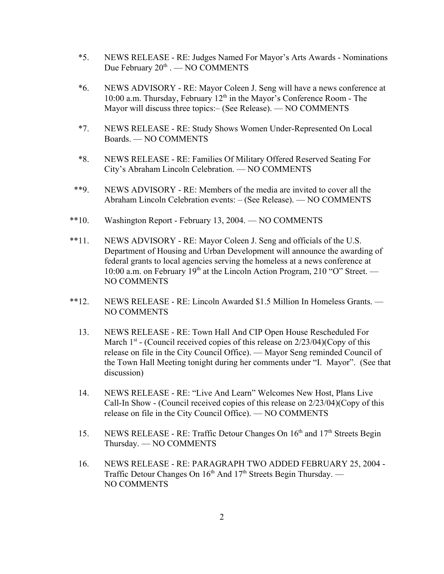- \*5. NEWS RELEASE RE: Judges Named For Mayor's Arts Awards Nominations Due February  $20^{th}$  . — NO COMMENTS
- \*6. NEWS ADVISORY RE: Mayor Coleen J. Seng will have a news conference at 10:00 a.m. Thursday, February  $12<sup>th</sup>$  in the Mayor's Conference Room - The Mayor will discuss three topics:– (See Release). — NO COMMENTS
- \*7. NEWS RELEASE RE: Study Shows Women Under-Represented On Local Boards. — NO COMMENTS
- \*8. NEWS RELEASE RE: Families Of Military Offered Reserved Seating For City's Abraham Lincoln Celebration. — NO COMMENTS
- \*\*9. NEWS ADVISORY RE: Members of the media are invited to cover all the Abraham Lincoln Celebration events: – (See Release). — NO COMMENTS
- \*\*10. Washington Report February 13, 2004. NO COMMENTS
- \*\*11. NEWS ADVISORY RE: Mayor Coleen J. Seng and officials of the U.S. Department of Housing and Urban Development will announce the awarding of federal grants to local agencies serving the homeless at a news conference at 10:00 a.m. on February  $19<sup>th</sup>$  at the Lincoln Action Program, 210 "O" Street. — NO COMMENTS
- \*\*12. NEWS RELEASE RE: Lincoln Awarded \$1.5 Million In Homeless Grants. NO COMMENTS
	- 13. NEWS RELEASE RE: Town Hall And CIP Open House Rescheduled For March  $1<sup>st</sup>$  - (Council received copies of this release on  $2/23/04$ )(Copy of this release on file in the City Council Office). — Mayor Seng reminded Council of the Town Hall Meeting tonight during her comments under "I. Mayor". (See that discussion)
	- 14. NEWS RELEASE RE: "Live And Learn" Welcomes New Host, Plans Live Call-In Show - (Council received copies of this release on 2/23/04)(Copy of this release on file in the City Council Office). — NO COMMENTS
	- 15. NEWS RELEASE RE: Traffic Detour Changes On 16<sup>th</sup> and 17<sup>th</sup> Streets Begin Thursday. — NO COMMENTS
	- 16. NEWS RELEASE RE: PARAGRAPH TWO ADDED FEBRUARY 25, 2004 Traffic Detour Changes On 16<sup>th</sup> And 17<sup>th</sup> Streets Begin Thursday. — NO COMMENTS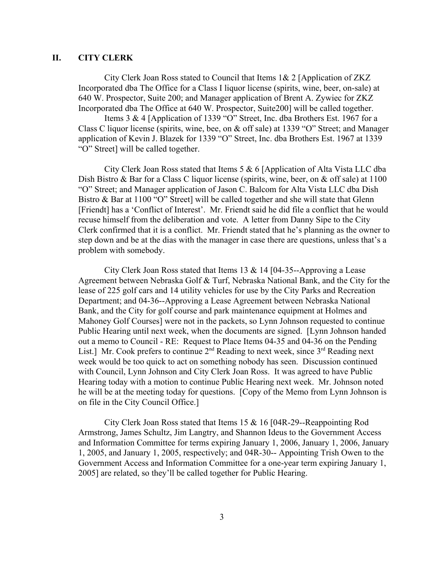## **II. CITY CLERK**

City Clerk Joan Ross stated to Council that Items 1& 2 [Application of ZKZ Incorporated dba The Office for a Class I liquor license (spirits, wine, beer, on-sale) at 640 W. Prospector, Suite 200; and Manager application of Brent A. Zywiec for ZKZ Incorporated dba The Office at 640 W. Prospector, Suite200] will be called together.

Items 3 & 4 [Application of 1339 "O" Street, Inc. dba Brothers Est. 1967 for a Class C liquor license (spirits, wine, bee, on & off sale) at 1339 "O" Street; and Manager application of Kevin J. Blazek for 1339 "O" Street, Inc. dba Brothers Est. 1967 at 1339 "O" Street] will be called together.

City Clerk Joan Ross stated that Items 5 & 6 [Application of Alta Vista LLC dba Dish Bistro & Bar for a Class C liquor license (spirits, wine, beer, on & off sale) at 1100 "O" Street; and Manager application of Jason C. Balcom for Alta Vista LLC dba Dish Bistro & Bar at 1100 "O" Street] will be called together and she will state that Glenn [Friendt] has a 'Conflict of Interest'. Mr. Friendt said he did file a conflict that he would recuse himself from the deliberation and vote. A letter from Danny Sipe to the City Clerk confirmed that it is a conflict. Mr. Friendt stated that he's planning as the owner to step down and be at the dias with the manager in case there are questions, unless that's a problem with somebody.

City Clerk Joan Ross stated that Items 13 & 14 [04-35--Approving a Lease Agreement between Nebraska Golf & Turf, Nebraska National Bank, and the City for the lease of 225 golf cars and 14 utility vehicles for use by the City Parks and Recreation Department; and 04-36--Approving a Lease Agreement between Nebraska National Bank, and the City for golf course and park maintenance equipment at Holmes and Mahoney Golf Courses] were not in the packets, so Lynn Johnson requested to continue Public Hearing until next week, when the documents are signed. [Lynn Johnson handed out a memo to Council - RE: Request to Place Items 04-35 and 04-36 on the Pending List.] Mr. Cook prefers to continue  $2<sup>nd</sup>$  Reading to next week, since  $3<sup>rd</sup>$  Reading next week would be too quick to act on something nobody has seen. Discussion continued with Council, Lynn Johnson and City Clerk Joan Ross. It was agreed to have Public Hearing today with a motion to continue Public Hearing next week. Mr. Johnson noted he will be at the meeting today for questions. [Copy of the Memo from Lynn Johnson is on file in the City Council Office.]

City Clerk Joan Ross stated that Items 15 & 16 [04R-29--Reappointing Rod Armstrong, James Schultz, Jim Langtry, and Shannon Ideus to the Government Access and Information Committee for terms expiring January 1, 2006, January 1, 2006, January 1, 2005, and January 1, 2005, respectively; and 04R-30-- Appointing Trish Owen to the Government Access and Information Committee for a one-year term expiring January 1, 2005] are related, so they'll be called together for Public Hearing.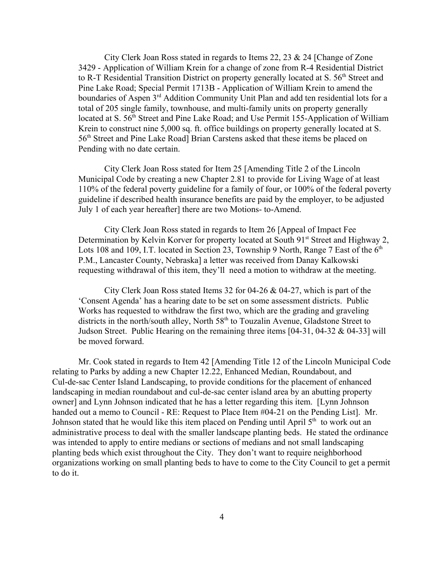City Clerk Joan Ross stated in regards to Items 22, 23 & 24 [Change of Zone 3429 - Application of William Krein for a change of zone from R-4 Residential District to R-T Residential Transition District on property generally located at S.  $56<sup>th</sup>$  Street and Pine Lake Road; Special Permit 1713B - Application of William Krein to amend the boundaries of Aspen 3<sup>rd</sup> Addition Community Unit Plan and add ten residential lots for a total of 205 single family, townhouse, and multi-family units on property generally located at S. 56<sup>th</sup> Street and Pine Lake Road; and Use Permit 155-Application of William Krein to construct nine 5,000 sq. ft. office buildings on property generally located at S. 56th Street and Pine Lake Road] Brian Carstens asked that these items be placed on Pending with no date certain.

City Clerk Joan Ross stated for Item 25 [Amending Title 2 of the Lincoln Municipal Code by creating a new Chapter 2.81 to provide for Living Wage of at least 110% of the federal poverty guideline for a family of four, or 100% of the federal poverty guideline if described health insurance benefits are paid by the employer, to be adjusted July 1 of each year hereafter] there are two Motions- to-Amend.

City Clerk Joan Ross stated in regards to Item 26 [Appeal of Impact Fee Determination by Kelvin Korver for property located at South 91<sup>st</sup> Street and Highway 2, Lots 108 and 109, I.T. located in Section 23, Township 9 North, Range 7 East of the  $6<sup>th</sup>$ P.M., Lancaster County, Nebraska] a letter was received from Danay Kalkowski requesting withdrawal of this item, they'll need a motion to withdraw at the meeting.

City Clerk Joan Ross stated Items 32 for 04-26 & 04-27, which is part of the 'Consent Agenda' has a hearing date to be set on some assessment districts. Public Works has requested to withdraw the first two, which are the grading and graveling districts in the north/south alley, North  $58<sup>th</sup>$  to Touzalin Avenue, Gladstone Street to Judson Street. Public Hearing on the remaining three items  $[04-31, 04-32, \& 04-33]$  will be moved forward.

Mr. Cook stated in regards to Item 42 [Amending Title 12 of the Lincoln Municipal Code relating to Parks by adding a new Chapter 12.22, Enhanced Median, Roundabout, and Cul-de-sac Center Island Landscaping, to provide conditions for the placement of enhanced landscaping in median roundabout and cul-de-sac center island area by an abutting property owner] and Lynn Johnson indicated that he has a letter regarding this item. [Lynn Johnson handed out a memo to Council - RE: Request to Place Item #04-21 on the Pending List]. Mr. Johnson stated that he would like this item placed on Pending until April  $5<sup>th</sup>$  to work out an administrative process to deal with the smaller landscape planting beds. He stated the ordinance was intended to apply to entire medians or sections of medians and not small landscaping planting beds which exist throughout the City. They don't want to require neighborhood organizations working on small planting beds to have to come to the City Council to get a permit to do it.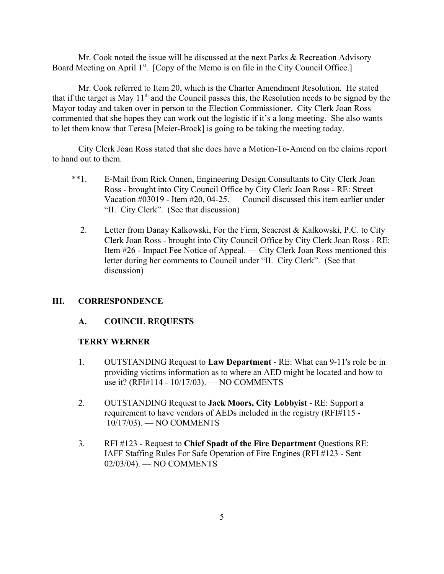Mr. Cook noted the issue will be discussed at the next Parks & Recreation Advisory Board Meeting on April 1<sup>st</sup>. [Copy of the Memo is on file in the City Council Office.]

Mr. Cook referred to Item 20, which is the Charter Amendment Resolution. He stated that if the target is May  $11<sup>th</sup>$  and the Council passes this, the Resolution needs to be signed by the Mayor today and taken over in person to the Election Commissioner. City Clerk Joan Ross commented that she hopes they can work out the logistic if it's a long meeting. She also wants to let them know that Teresa [Meier-Brock] is going to be taking the meeting today.

City Clerk Joan Ross stated that she does have a Motion-To-Amend on the claims report to hand out to them.

- \*\*1. E-Mail from Rick Onnen, Engineering Design Consultants to City Clerk Joan Ross - brought into City Council Office by City Clerk Joan Ross - RE: Street Vacation #03019 - Item #20, 04-25. — Council discussed this item earlier under "II. City Clerk". (See that discussion)
	- 2. Letter from Danay Kalkowski, For the Firm, Seacrest & Kalkowski, P.C. to City Clerk Joan Ross - brought into City Council Office by City Clerk Joan Ross - RE: Item #26 - Impact Fee Notice of Appeal. — City Clerk Joan Ross mentioned this letter during her comments to Council under "II. City Clerk". (See that discussion)

## **III. CORRESPONDENCE**

#### **A. COUNCIL REQUESTS**

#### **TERRY WERNER**

- 1. OUTSTANDING Request to **Law Department** RE: What can 9-11's role be in providing victims information as to where an AED might be located and how to use it? (RFI#114 - 10/17/03). — NO COMMENTS
- 2. OUTSTANDING Request to **Jack Moors, City Lobbyist** RE: Support a requirement to have vendors of AEDs included in the registry (RFI#115 - 10/17/03). — NO COMMENTS
- 3. RFI #123 Request to **Chief Spadt of the Fire Department** Questions RE: IAFF Staffing Rules For Safe Operation of Fire Engines (RFI #123 - Sent 02/03/04). — NO COMMENTS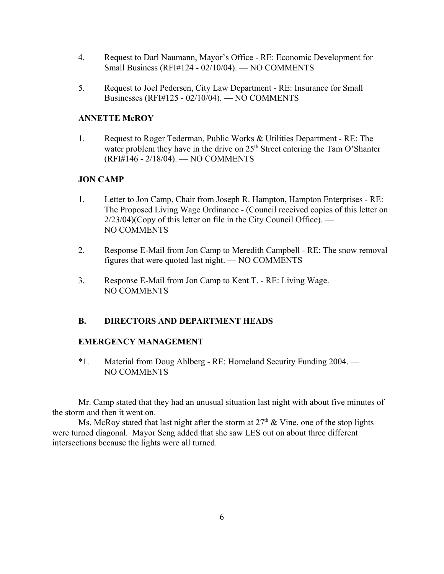- 4. Request to Darl Naumann, Mayor's Office RE: Economic Development for Small Business (RFI#124 - 02/10/04). — NO COMMENTS
- 5. Request to Joel Pedersen, City Law Department RE: Insurance for Small Businesses (RFI#125 - 02/10/04). — NO COMMENTS

## **ANNETTE McROY**

1. Request to Roger Tederman, Public Works & Utilities Department - RE: The water problem they have in the drive on 25<sup>th</sup> Street entering the Tam O'Shanter (RFI#146 - 2/18/04). — NO COMMENTS

# **JON CAMP**

- 1. Letter to Jon Camp, Chair from Joseph R. Hampton, Hampton Enterprises RE: The Proposed Living Wage Ordinance - (Council received copies of this letter on 2/23/04)(Copy of this letter on file in the City Council Office). — NO COMMENTS
- 2. Response E-Mail from Jon Camp to Meredith Campbell RE: The snow removal figures that were quoted last night. — NO COMMENTS
- 3. Response E-Mail from Jon Camp to Kent T. RE: Living Wage. NO COMMENTS

# **B. DIRECTORS AND DEPARTMENT HEADS**

## **EMERGENCY MANAGEMENT**

\*1. Material from Doug Ahlberg - RE: Homeland Security Funding 2004. — NO COMMENTS

Mr. Camp stated that they had an unusual situation last night with about five minutes of the storm and then it went on.

Ms. McRoy stated that last night after the storm at  $27<sup>th</sup>$  & Vine, one of the stop lights were turned diagonal. Mayor Seng added that she saw LES out on about three different intersections because the lights were all turned.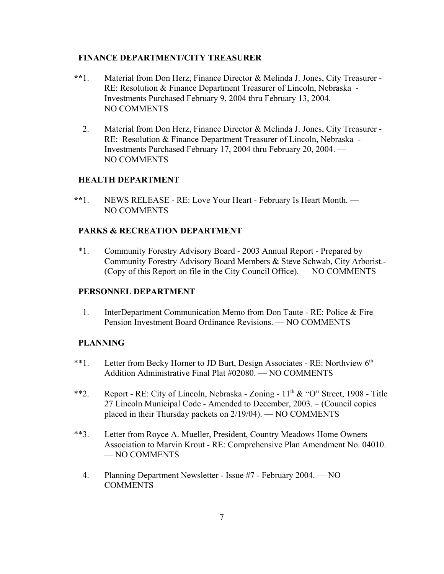## **FINANCE DEPARTMENT/CITY TREASURER**

- **\*\***1. Material from Don Herz, Finance Director & Melinda J. Jones, City Treasurer RE: Resolution & Finance Department Treasurer of Lincoln, Nebraska - Investments Purchased February 9, 2004 thru February 13, 2004. — NO COMMENTS
	- 2. Material from Don Herz, Finance Director & Melinda J. Jones, City Treasurer RE: Resolution & Finance Department Treasurer of Lincoln, Nebraska - Investments Purchased February 17, 2004 thru February 20, 2004. — NO COMMENTS

## **HEALTH DEPARTMENT**

 **\*\***1. NEWS RELEASE - RE: Love Your Heart - February Is Heart Month. — NO COMMENTS

## **PARKS & RECREATION DEPARTMENT**

\*1. Community Forestry Advisory Board - 2003 Annual Report - Prepared by Community Forestry Advisory Board Members & Steve Schwab, City Arborist.- (Copy of this Report on file in the City Council Office). — NO COMMENTS

#### **PERSONNEL DEPARTMENT**

1. InterDepartment Communication Memo from Don Taute - RE: Police & Fire Pension Investment Board Ordinance Revisions. — NO COMMENTS

## **PLANNING**

- \*\*1. Letter from Becky Horner to JD Burt, Design Associates RE: Northview 6<sup>th</sup> Addition Administrative Final Plat #02080. — NO COMMENTS
- \*\*2. Report RE: City of Lincoln, Nebraska Zoning  $11<sup>th</sup> \& ^\circ$  O" Street, 1908 Title 27 Lincoln Municipal Code - Amended to December, 2003. – (Council copies placed in their Thursday packets on 2/19/04). — NO COMMENTS
- \*\*3. Letter from Royce A. Mueller, President, Country Meadows Home Owners Association to Marvin Krout - RE: Comprehensive Plan Amendment No. 04010. — NO COMMENTS
	- 4. Planning Department Newsletter Issue #7 February 2004. NO **COMMENTS**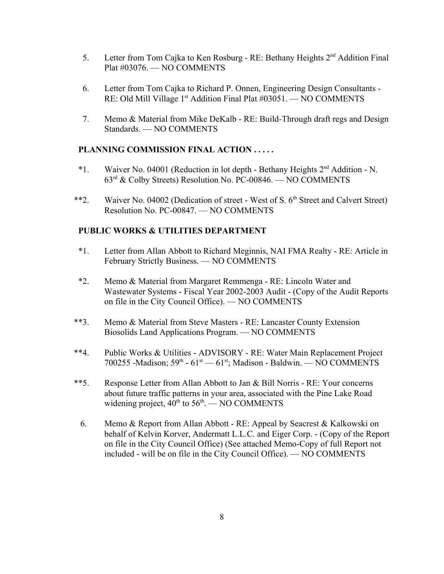- 5. Letter from Tom Cajka to Ken Rosburg RE: Bethany Heights 2nd Addition Final Plat #03076. — NO COMMENTS
- 6. Letter from Tom Cajka to Richard P. Onnen, Engineering Design Consultants RE: Old Mill Village 1<sup>st</sup> Addition Final Plat #03051. — NO COMMENTS
- 7. Memo & Material from Mike DeKalb RE: Build-Through draft regs and Design Standards. — NO COMMENTS

## **PLANNING COMMISSION FINAL ACTION . . . . .**

- \*1. Waiver No. 04001 (Reduction in lot depth Bethany Heights 2nd Addition N. 63rd & Colby Streets) Resolution No. PC-00846. — NO COMMENTS
- \*\*2. Waiver No. 04002 (Dedication of street West of S. 6<sup>th</sup> Street and Calvert Street) Resolution No. PC-00847. — NO COMMENTS

## **PUBLIC WORKS & UTILITIES DEPARTMENT**

- \*1. Letter from Allan Abbott to Richard Meginnis, NAI FMA Realty RE: Article in February Strictly Business. — NO COMMENTS
- \*2. Memo & Material from Margaret Remmenga RE: Lincoln Water and Wastewater Systems - Fiscal Year 2002-2003 Audit - (Copy of the Audit Reports on file in the City Council Office). — NO COMMENTS
- \*\*3. Memo & Material from Steve Masters RE: Lancaster County Extension Biosolids Land Applications Program. — NO COMMENTS
- \*\*4. Public Works & Utilities ADVISORY RE: Water Main Replacement Project 700255 -Madison;  $59<sup>th</sup> - 61<sup>st</sup> - 61<sup>st</sup>$ ; Madison - Baldwin. — NO COMMENTS
- \*\*5. Response Letter from Allan Abbott to Jan & Bill Norris RE: Your concerns about future traffic patterns in your area, associated with the Pine Lake Road widening project,  $40^{th}$  to  $56^{th}$ . — NO COMMENTS
	- 6. Memo & Report from Allan Abbott RE: Appeal by Seacrest & Kalkowski on behalf of Kelvin Korver, Andermatt L.L.C. and Eiger Corp. - (Copy of the Report on file in the City Council Office) (See attached Memo-Copy of full Report not included - will be on file in the City Council Office). — NO COMMENTS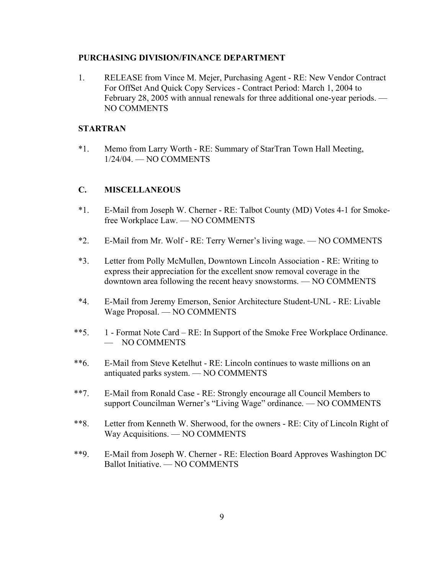#### **PURCHASING DIVISION/FINANCE DEPARTMENT**

1. RELEASE from Vince M. Mejer, Purchasing Agent - RE: New Vendor Contract For OffSet And Quick Copy Services - Contract Period: March 1, 2004 to February 28, 2005 with annual renewals for three additional one-year periods. — NO COMMENTS

## **STARTRAN**

\*1. Memo from Larry Worth - RE: Summary of StarTran Town Hall Meeting, 1/24/04. — NO COMMENTS

## **C. MISCELLANEOUS**

- \*1. E-Mail from Joseph W. Cherner RE: Talbot County (MD) Votes 4-1 for Smokefree Workplace Law. — NO COMMENTS
- \*2. E-Mail from Mr. Wolf RE: Terry Werner's living wage. NO COMMENTS
- \*3. Letter from Polly McMullen, Downtown Lincoln Association RE: Writing to express their appreciation for the excellent snow removal coverage in the downtown area following the recent heavy snowstorms. — NO COMMENTS
- \*4. E-Mail from Jeremy Emerson, Senior Architecture Student-UNL RE: Livable Wage Proposal. — NO COMMENTS
- \*\*5. 1 Format Note Card RE: In Support of the Smoke Free Workplace Ordinance. — NO COMMENTS
- \*\*6. E-Mail from Steve Ketelhut RE: Lincoln continues to waste millions on an antiquated parks system. — NO COMMENTS
- \*\*7. E-Mail from Ronald Case RE: Strongly encourage all Council Members to support Councilman Werner's "Living Wage" ordinance. — NO COMMENTS
- \*\*8. Letter from Kenneth W. Sherwood, for the owners RE: City of Lincoln Right of Way Acquisitions. — NO COMMENTS
- \*\*9. E-Mail from Joseph W. Cherner RE: Election Board Approves Washington DC Ballot Initiative. — NO COMMENTS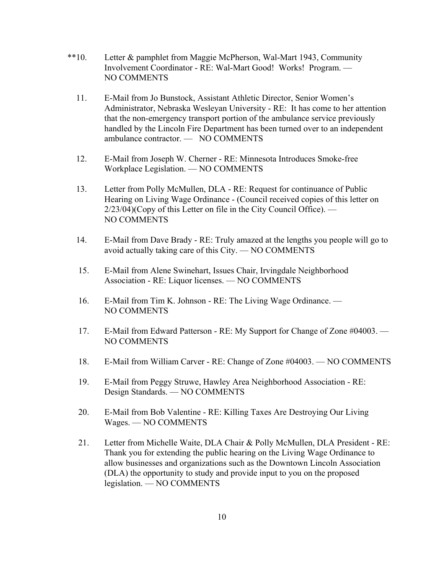- \*\*10. Letter & pamphlet from Maggie McPherson, Wal-Mart 1943, Community Involvement Coordinator - RE: Wal-Mart Good! Works! Program. — NO COMMENTS
	- 11. E-Mail from Jo Bunstock, Assistant Athletic Director, Senior Women's Administrator, Nebraska Wesleyan University - RE: It has come to her attention that the non-emergency transport portion of the ambulance service previously handled by the Lincoln Fire Department has been turned over to an independent ambulance contractor. — NO COMMENTS
	- 12. E-Mail from Joseph W. Cherner RE: Minnesota Introduces Smoke-free Workplace Legislation. — NO COMMENTS
	- 13. Letter from Polly McMullen, DLA RE: Request for continuance of Public Hearing on Living Wage Ordinance - (Council received copies of this letter on 2/23/04)(Copy of this Letter on file in the City Council Office). — NO COMMENTS
	- 14. E-Mail from Dave Brady RE: Truly amazed at the lengths you people will go to avoid actually taking care of this City. — NO COMMENTS
	- 15. E-Mail from Alene Swinehart, Issues Chair, Irvingdale Neighborhood Association - RE: Liquor licenses. — NO COMMENTS
	- 16. E-Mail from Tim K. Johnson RE: The Living Wage Ordinance. NO COMMENTS
	- 17. E-Mail from Edward Patterson RE: My Support for Change of Zone #04003. NO COMMENTS
	- 18. E-Mail from William Carver RE: Change of Zone #04003. NO COMMENTS
	- 19. E-Mail from Peggy Struwe, Hawley Area Neighborhood Association RE: Design Standards. — NO COMMENTS
	- 20. E-Mail from Bob Valentine RE: Killing Taxes Are Destroying Our Living Wages. — NO COMMENTS
	- 21. Letter from Michelle Waite, DLA Chair & Polly McMullen, DLA President RE: Thank you for extending the public hearing on the Living Wage Ordinance to allow businesses and organizations such as the Downtown Lincoln Association (DLA) the opportunity to study and provide input to you on the proposed legislation. — NO COMMENTS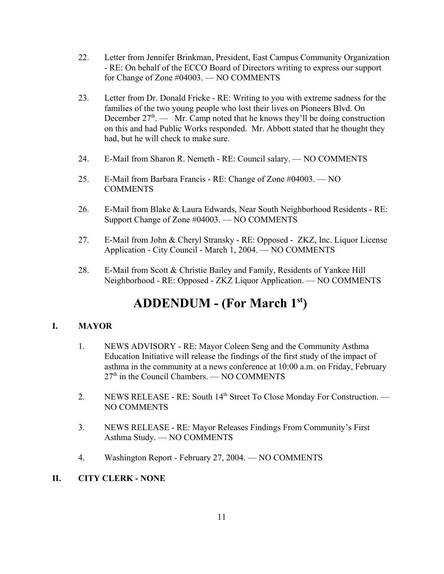- 22. Letter from Jennifer Brinkman, President, East Campus Community Organization - RE: On behalf of the ECCO Board of Directors writing to express our support for Change of Zone #04003. — NO COMMENTS
- 23. Letter from Dr. Donald Fricke RE: Writing to you with extreme sadness for the families of the two young people who lost their lives on Pioneers Blvd. On December  $27<sup>th</sup>$ . — Mr. Camp noted that he knows they'll be doing construction on this and had Public Works responded. Mr. Abbott stated that he thought they had, but he will check to make sure.
- 24. E-Mail from Sharon R. Nemeth RE: Council salary. NO COMMENTS
- 25. E-Mail from Barbara Francis RE: Change of Zone #04003. NO COMMENTS
- 26. E-Mail from Blake & Laura Edwards, Near South Neighborhood Residents RE: Support Change of Zone #04003. — NO COMMENTS
- 27. E-Mail from John & Cheryl Stransky RE: Opposed ZKZ, Inc. Liquor License Application - City Council - March 1, 2004. — NO COMMENTS
- 28. E-Mail from Scott & Christie Bailey and Family, Residents of Yankee Hill Neighborhood - RE: Opposed - ZKZ Liquor Application. — NO COMMENTS

# **ADDENDUM - (For March 1st)**

# **I. MAYOR**

- 1. NEWS ADVISORY RE: Mayor Coleen Seng and the Community Asthma Education Initiative will release the findings of the first study of the impact of asthma in the community at a news conference at 10:00 a.m. on Friday, February  $27<sup>th</sup>$  in the Council Chambers. — NO COMMENTS
- 2. NEWS RELEASE RE: South 14<sup>th</sup> Street To Close Monday For Construction. NO COMMENTS
- 3. NEWS RELEASE RE: Mayor Releases Findings From Community's First Asthma Study. — NO COMMENTS
- 4. Washington Report February 27, 2004. NO COMMENTS
- **II. CITY CLERK NONE**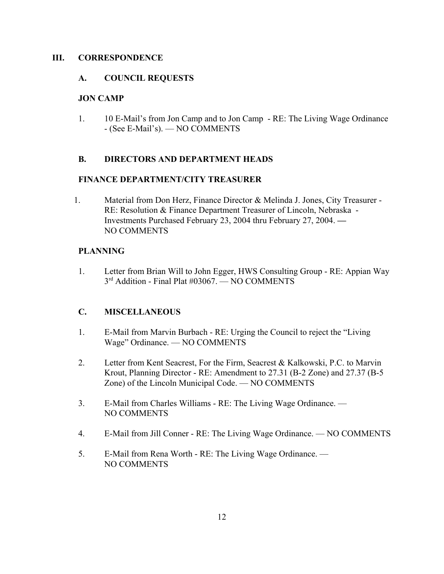## **III. CORRESPONDENCE**

## **A. COUNCIL REQUESTS**

## **JON CAMP**

1. 10 E-Mail's from Jon Camp and to Jon Camp - RE: The Living Wage Ordinance - (See E-Mail's). — NO COMMENTS

## **B. DIRECTORS AND DEPARTMENT HEADS**

## **FINANCE DEPARTMENT/CITY TREASURER**

1. Material from Don Herz, Finance Director & Melinda J. Jones, City Treasurer - RE: Resolution & Finance Department Treasurer of Lincoln, Nebraska - Investments Purchased February 23, 2004 thru February 27, 2004. **—**  NO COMMENTS

# **PLANNING**

1. Letter from Brian Will to John Egger, HWS Consulting Group - RE: Appian Way 3<sup>rd</sup> Addition - Final Plat #03067. — NO COMMENTS

# **C. MISCELLANEOUS**

- 1. E-Mail from Marvin Burbach RE: Urging the Council to reject the "Living Wage" Ordinance. — NO COMMENTS
- 2. Letter from Kent Seacrest, For the Firm, Seacrest & Kalkowski, P.C. to Marvin Krout, Planning Director - RE: Amendment to 27.31 (B-2 Zone) and 27.37 (B-5 Zone) of the Lincoln Municipal Code. — NO COMMENTS
- 3. E-Mail from Charles Williams RE: The Living Wage Ordinance. NO COMMENTS
- 4. E-Mail from Jill Conner RE: The Living Wage Ordinance. NO COMMENTS
- 5. E-Mail from Rena Worth RE: The Living Wage Ordinance. NO COMMENTS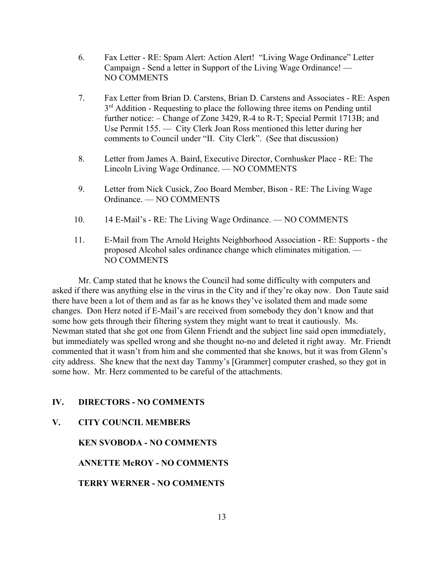- 6. Fax Letter RE: Spam Alert: Action Alert! "Living Wage Ordinance" Letter Campaign - Send a letter in Support of the Living Wage Ordinance! — NO COMMENTS
- 7. Fax Letter from Brian D. Carstens, Brian D. Carstens and Associates RE: Aspen  $3<sup>rd</sup>$  Addition - Requesting to place the following three items on Pending until further notice: – Change of Zone 3429, R-4 to R-T; Special Permit 1713B; and Use Permit 155. — City Clerk Joan Ross mentioned this letter during her comments to Council under "II. City Clerk". (See that discussion)
- 8. Letter from James A. Baird, Executive Director, Cornhusker Place RE: The Lincoln Living Wage Ordinance. — NO COMMENTS
- 9. Letter from Nick Cusick, Zoo Board Member, Bison RE: The Living Wage Ordinance. — NO COMMENTS
- 10. 14 E-Mail's RE: The Living Wage Ordinance. NO COMMENTS
- 11. E-Mail from The Arnold Heights Neighborhood Association RE: Supports the proposed Alcohol sales ordinance change which eliminates mitigation. — NO COMMENTS

Mr. Camp stated that he knows the Council had some difficulty with computers and asked if there was anything else in the virus in the City and if they're okay now. Don Taute said there have been a lot of them and as far as he knows they've isolated them and made some changes. Don Herz noted if E-Mail's are received from somebody they don't know and that some how gets through their filtering system they might want to treat it cautiously. Ms. Newman stated that she got one from Glenn Friendt and the subject line said open immediately, but immediately was spelled wrong and she thought no-no and deleted it right away. Mr. Friendt commented that it wasn't from him and she commented that she knows, but it was from Glenn's city address. She knew that the next day Tammy's [Grammer] computer crashed, so they got in some how. Mr. Herz commented to be careful of the attachments.

# **IV. DIRECTORS - NO COMMENTS**

# **V. CITY COUNCIL MEMBERS**

**KEN SVOBODA - NO COMMENTS**

**ANNETTE McROY - NO COMMENTS**

**TERRY WERNER - NO COMMENTS**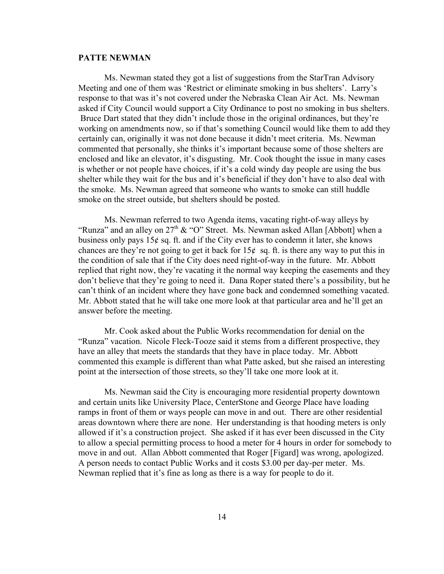#### **PATTE NEWMAN**

Ms. Newman stated they got a list of suggestions from the StarTran Advisory Meeting and one of them was 'Restrict or eliminate smoking in bus shelters'. Larry's response to that was it's not covered under the Nebraska Clean Air Act. Ms. Newman asked if City Council would support a City Ordinance to post no smoking in bus shelters. Bruce Dart stated that they didn't include those in the original ordinances, but they're working on amendments now, so if that's something Council would like them to add they certainly can, originally it was not done because it didn't meet criteria. Ms. Newman commented that personally, she thinks it's important because some of those shelters are enclosed and like an elevator, it's disgusting. Mr. Cook thought the issue in many cases is whether or not people have choices, if it's a cold windy day people are using the bus shelter while they wait for the bus and it's beneficial if they don't have to also deal with the smoke. Ms. Newman agreed that someone who wants to smoke can still huddle smoke on the street outside, but shelters should be posted.

Ms. Newman referred to two Agenda items, vacating right-of-way alleys by "Runza" and an alley on  $27<sup>th</sup>$  & "O" Street. Ms. Newman asked Allan [Abbott] when a business only pays  $15¢$  sq. ft. and if the City ever has to condemn it later, she knows chances are they're not going to get it back for  $15¢$  sq. ft. is there any way to put this in the condition of sale that if the City does need right-of-way in the future. Mr. Abbott replied that right now, they're vacating it the normal way keeping the easements and they don't believe that they're going to need it. Dana Roper stated there's a possibility, but he can't think of an incident where they have gone back and condemned something vacated. Mr. Abbott stated that he will take one more look at that particular area and he'll get an answer before the meeting.

Mr. Cook asked about the Public Works recommendation for denial on the "Runza" vacation. Nicole Fleck-Tooze said it stems from a different prospective, they have an alley that meets the standards that they have in place today. Mr. Abbott commented this example is different than what Patte asked, but she raised an interesting point at the intersection of those streets, so they'll take one more look at it.

Ms. Newman said the City is encouraging more residential property downtown and certain units like University Place, CenterStone and George Place have loading ramps in front of them or ways people can move in and out. There are other residential areas downtown where there are none. Her understanding is that hooding meters is only allowed if it's a construction project. She asked if it has ever been discussed in the City to allow a special permitting process to hood a meter for 4 hours in order for somebody to move in and out. Allan Abbott commented that Roger [Figard] was wrong, apologized. A person needs to contact Public Works and it costs \$3.00 per day-per meter. Ms. Newman replied that it's fine as long as there is a way for people to do it.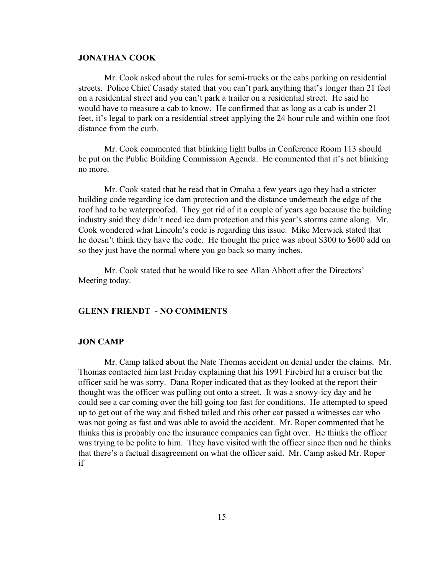#### **JONATHAN COOK**

Mr. Cook asked about the rules for semi-trucks or the cabs parking on residential streets. Police Chief Casady stated that you can't park anything that's longer than 21 feet on a residential street and you can't park a trailer on a residential street. He said he would have to measure a cab to know. He confirmed that as long as a cab is under 21 feet, it's legal to park on a residential street applying the 24 hour rule and within one foot distance from the curb.

Mr. Cook commented that blinking light bulbs in Conference Room 113 should be put on the Public Building Commission Agenda. He commented that it's not blinking no more.

Mr. Cook stated that he read that in Omaha a few years ago they had a stricter building code regarding ice dam protection and the distance underneath the edge of the roof had to be waterproofed. They got rid of it a couple of years ago because the building industry said they didn't need ice dam protection and this year's storms came along. Mr. Cook wondered what Lincoln's code is regarding this issue. Mike Merwick stated that he doesn't think they have the code. He thought the price was about \$300 to \$600 add on so they just have the normal where you go back so many inches.

Mr. Cook stated that he would like to see Allan Abbott after the Directors' Meeting today.

#### **GLENN FRIENDT - NO COMMENTS**

#### **JON CAMP**

Mr. Camp talked about the Nate Thomas accident on denial under the claims. Mr. Thomas contacted him last Friday explaining that his 1991 Firebird hit a cruiser but the officer said he was sorry. Dana Roper indicated that as they looked at the report their thought was the officer was pulling out onto a street. It was a snowy-icy day and he could see a car coming over the hill going too fast for conditions. He attempted to speed up to get out of the way and fished tailed and this other car passed a witnesses car who was not going as fast and was able to avoid the accident. Mr. Roper commented that he thinks this is probably one the insurance companies can fight over. He thinks the officer was trying to be polite to him. They have visited with the officer since then and he thinks that there's a factual disagreement on what the officer said. Mr. Camp asked Mr. Roper if